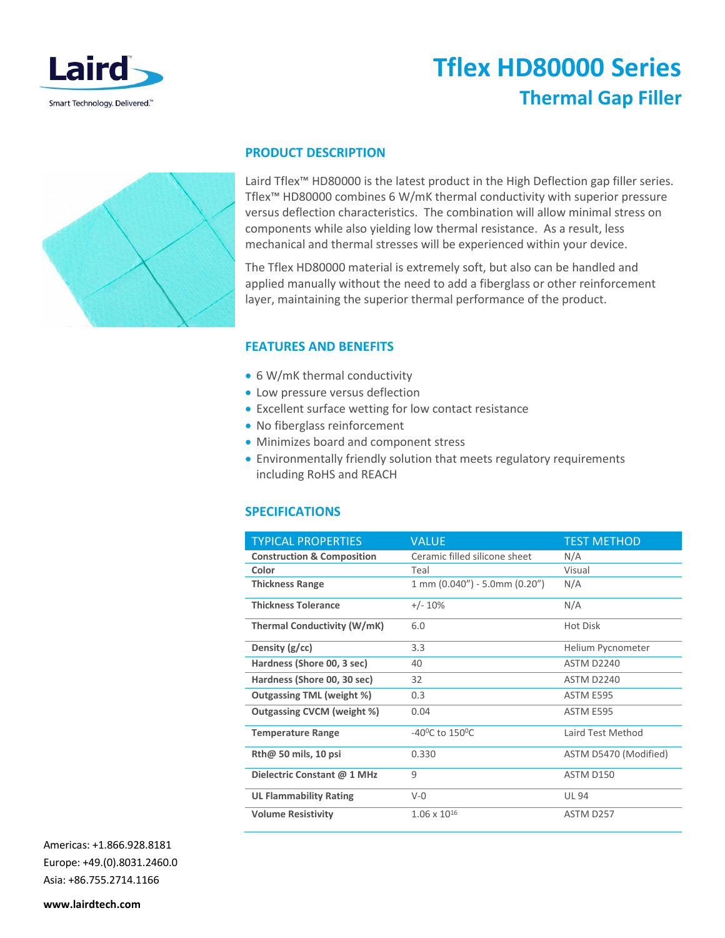

# **Tflex HD80000 Series Thermal Gap Filler**



### **PRODUCT DESCRIPTION**

Laird Tflex™ HD80000 is the latest product in the High Deflection gap filler series. Tflex™ HD80000 combines 6 W/mK thermal conductivity with superior pressure versus deflection characteristics. The combination will allow minimal stress on components while also yielding low thermal resistance. As a result, less mechanical and thermal stresses will be experienced within your device.

The Tflex HD80000 material is extremely soft, but also can be handled and applied manually without the need to add a fiberglass or other reinforcement layer, maintaining the superior thermal performance of the product.

## **FEATURES AND BENEFITS**

- 6 W/mK thermal conductivity
- Low pressure versus deflection
- Excellent surface wetting for low contact resistance
- No fiberglass reinforcement
- Minimizes board and component stress
- Environmentally friendly solution that meets regulatory requirements including RoHS and REACH

## **SPECIFICATIONS**

| <b>TYPICAL PROPERTIES</b>             | <b>VALUE</b>                                         | <b>TEST METHOD</b>    |
|---------------------------------------|------------------------------------------------------|-----------------------|
| <b>Construction &amp; Composition</b> | Ceramic filled silicone sheet                        | N/A                   |
| Color                                 | Teal                                                 | Visual                |
| <b>Thickness Range</b>                | $1 \text{ mm } (0.040'') - 5.0 \text{ mm } (0.20'')$ | N/A                   |
| <b>Thickness Tolerance</b>            | $+/- 10%$                                            | N/A                   |
| Thermal Conductivity (W/mK)           | 6.0                                                  | <b>Hot Disk</b>       |
| Density $(g/cc)$                      | 3.3                                                  | Helium Pycnometer     |
| Hardness (Shore 00, 3 sec)            | 40                                                   | ASTM D2240            |
| Hardness (Shore 00, 30 sec)           | 32                                                   | ASTM D2240            |
| Outgassing TML (weight %)             | 0.3                                                  | ASTM E595             |
| Outgassing CVCM (weight %)            | 0.04                                                 | ASTM E595             |
| <b>Temperature Range</b>              | $-40^{\circ}$ C to 150 $^{\circ}$ C                  | Laird Test Method     |
| $Rth@$ 50 mils, 10 psi                | 0.330                                                | ASTM D5470 (Modified) |
| Dielectric Constant @ 1 MHz           | 9                                                    | ASTM D150             |
| <b>UL Flammability Rating</b>         | $V - 0$                                              | <b>UL 94</b>          |
| <b>Volume Resistivity</b>             | $1.06 \times 10^{16}$                                | ASTM D257             |

Americas: +1.866.928.8181 Europe: +49.(0).8031.2460.0 Asia: +86.755.2714.1166